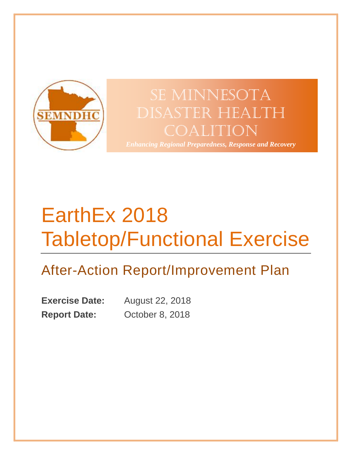

# SE MINNESOTA Disaster Health Coalition

*Enhancing Regional Preparedness, Response and Recovery*

# EarthEx 2018 Tabletop/Functional Exercise

# After-Action Report/Improvement Plan

**Exercise Date:** August 22, 2018 **Report Date:** October 8, 2018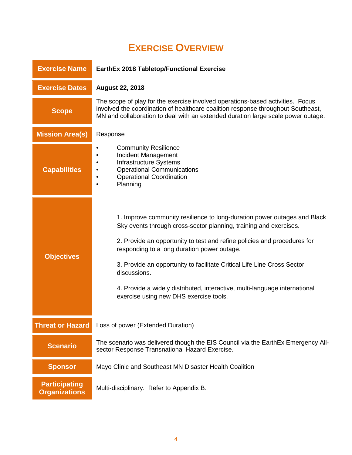# **EXERCISE OVERVIEW**

<span id="page-1-0"></span>

| <b>Exercise Name</b>                         | EarthEx 2018 Tabletop/Functional Exercise                                                                                                                                                                                                                                                                                                                                                                                                                                                   |  |  |  |
|----------------------------------------------|---------------------------------------------------------------------------------------------------------------------------------------------------------------------------------------------------------------------------------------------------------------------------------------------------------------------------------------------------------------------------------------------------------------------------------------------------------------------------------------------|--|--|--|
| <b>Exercise Dates</b>                        | <b>August 22, 2018</b>                                                                                                                                                                                                                                                                                                                                                                                                                                                                      |  |  |  |
| <b>Scope</b>                                 | The scope of play for the exercise involved operations-based activities. Focus<br>involved the coordination of healthcare coalition response throughout Southeast,<br>MN and collaboration to deal with an extended duration large scale power outage.                                                                                                                                                                                                                                      |  |  |  |
| <b>Mission Area(s)</b>                       | Response                                                                                                                                                                                                                                                                                                                                                                                                                                                                                    |  |  |  |
| <b>Capabilities</b>                          | <b>Community Resilience</b><br>Incident Management<br>Infrastructure Systems<br><b>Operational Communications</b><br><b>Operational Coordination</b><br>Planning                                                                                                                                                                                                                                                                                                                            |  |  |  |
| <b>Objectives</b>                            | 1. Improve community resilience to long-duration power outages and Black<br>Sky events through cross-sector planning, training and exercises.<br>2. Provide an opportunity to test and refine policies and procedures for<br>responding to a long duration power outage.<br>3. Provide an opportunity to facilitate Critical Life Line Cross Sector<br>discussions.<br>4. Provide a widely distributed, interactive, multi-language international<br>exercise using new DHS exercise tools. |  |  |  |
| <b>Threat or Hazard</b>                      | Loss of power (Extended Duration)                                                                                                                                                                                                                                                                                                                                                                                                                                                           |  |  |  |
| <b>Scenario</b>                              | The scenario was delivered though the EIS Council via the EarthEx Emergency All-<br>sector Response Transnational Hazard Exercise.                                                                                                                                                                                                                                                                                                                                                          |  |  |  |
| <b>Sponsor</b>                               | Mayo Clinic and Southeast MN Disaster Health Coalition                                                                                                                                                                                                                                                                                                                                                                                                                                      |  |  |  |
| <b>Participating</b><br><b>Organizations</b> | Multi-disciplinary. Refer to Appendix B.                                                                                                                                                                                                                                                                                                                                                                                                                                                    |  |  |  |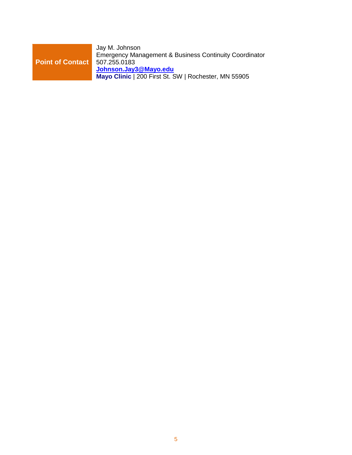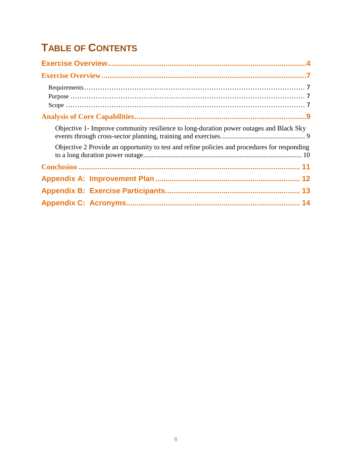# **TABLE OF CONTENTS**

| Objective 1- Improve community resilience to long-duration power outages and Black Sky       |
|----------------------------------------------------------------------------------------------|
| Objective 2 Provide an opportunity to test and refine policies and procedures for responding |
|                                                                                              |
|                                                                                              |
|                                                                                              |
|                                                                                              |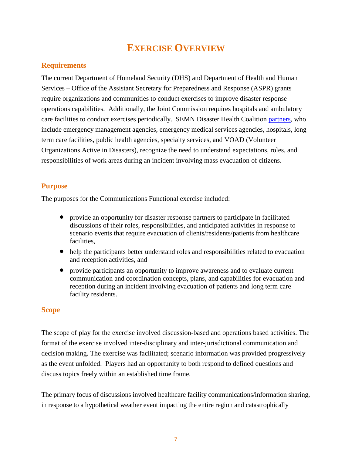## **EXERCISE OVERVIEW**

### <span id="page-4-1"></span><span id="page-4-0"></span>**Requirements**

The current Department of Homeland Security (DHS) and Department of Health and Human Services – Office of the Assistant Secretary for Preparedness and Response (ASPR) grants require organizations and communities to conduct exercises to improve disaster response operations capabilities. Additionally, the Joint Commission requires hospitals and ambulatory care facilities to conduct exercises periodically. SEMN Disaster Health Coalition [partners,](http://www.semndhc.org/partners/) who include emergency management agencies, emergency medical services agencies, hospitals, long term care facilities, public health agencies, specialty services, and VOAD (Volunteer Organizations Active in Disasters), recognize the need to understand expectations, roles, and responsibilities of work areas during an incident involving mass evacuation of citizens.

### <span id="page-4-2"></span>**Purpose**

The purposes for the Communications Functional exercise included:

- provide an opportunity for disaster response partners to participate in facilitated discussions of their roles, responsibilities, and anticipated activities in response to scenario events that require evacuation of clients/residents/patients from healthcare facilities,
- help the participants better understand roles and responsibilities related to evacuation and reception activities, and
- provide participants an opportunity to improve awareness and to evaluate current communication and coordination concepts, plans, and capabilities for evacuation and reception during an incident involving evacuation of patients and long term care facility residents.

### <span id="page-4-3"></span>**Scope**

The scope of play for the exercise involved discussion-based and operations based activities. The format of the exercise involved inter-disciplinary and inter-jurisdictional communication and decision making. The exercise was facilitated; scenario information was provided progressively as the event unfolded. Players had an opportunity to both respond to defined questions and discuss topics freely within an established time frame.

The primary focus of discussions involved healthcare facility communications/information sharing, in response to a hypothetical weather event impacting the entire region and catastrophically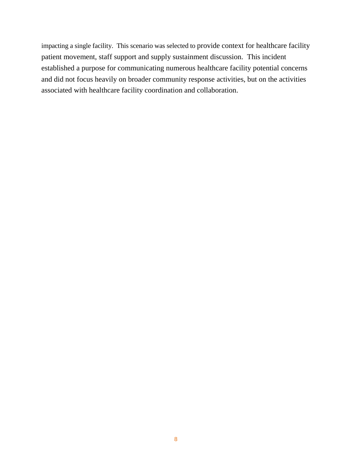impacting a single facility. This scenario was selected to provide context for healthcare facility patient movement, staff support and supply sustainment discussion. This incident established a purpose for communicating numerous healthcare facility potential concerns and did not focus heavily on broader community response activities, but on the activities associated with healthcare facility coordination and collaboration.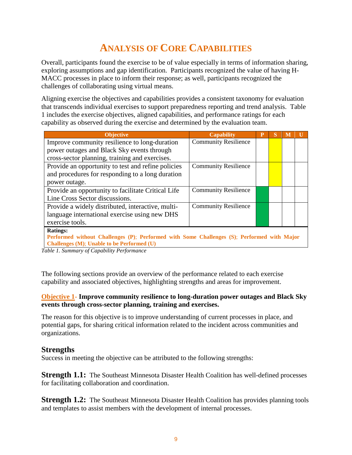# **ANALYSIS OF CORE CAPABILITIES**

<span id="page-6-0"></span>Overall, participants found the exercise to be of value especially in terms of information sharing, exploring assumptions and gap identification. Participants recognized the value of having H-MACC processes in place to inform their response; as well, participants recognized the challenges of collaborating using virtual means.

Aligning exercise the objectives and capabilities provides a consistent taxonomy for evaluation that transcends individual exercises to support preparedness reporting and trend analysis. Table 1 includes the exercise objectives, aligned capabilities, and performance ratings for each capability as observed during the exercise and determined by the evaluation team.

| <b>Objective</b>                                                                           | <b>Capability</b>           | P |  |  |  |
|--------------------------------------------------------------------------------------------|-----------------------------|---|--|--|--|
| Improve community resilience to long-duration                                              | <b>Community Resilience</b> |   |  |  |  |
| power outages and Black Sky events through                                                 |                             |   |  |  |  |
| cross-sector planning, training and exercises.                                             |                             |   |  |  |  |
| Provide an opportunity to test and refine policies                                         | <b>Community Resilience</b> |   |  |  |  |
| and procedures for responding to a long duration                                           |                             |   |  |  |  |
| power outage.                                                                              |                             |   |  |  |  |
| Provide an opportunity to facilitate Critical Life                                         | <b>Community Resilience</b> |   |  |  |  |
| Line Cross Sector discussions.                                                             |                             |   |  |  |  |
| Provide a widely distributed, interactive, multi-                                          | <b>Community Resilience</b> |   |  |  |  |
| language international exercise using new DHS                                              |                             |   |  |  |  |
| exercise tools.                                                                            |                             |   |  |  |  |
| <b>Ratings:</b>                                                                            |                             |   |  |  |  |
| Performed without Challenges (P); Performed with Some Challenges (S); Performed with Major |                             |   |  |  |  |
| Challenges (M); Unable to be Performed (U)                                                 |                             |   |  |  |  |

*Table 1. Summary of Capability Performance*

The following sections provide an overview of the performance related to each exercise capability and associated objectives, highlighting strengths and areas for improvement.

### <span id="page-6-1"></span>**Objective 1- Improve community resilience to long-duration power outages and Black Sky events through cross-sector planning, training and exercises.**

The reason for this objective is to improve understanding of current processes in place, and potential gaps, for sharing critical information related to the incident across communities and organizations.

### **Strengths**

Success in meeting the objective can be attributed to the following strengths:

**Strength 1.1:** The Southeast Minnesota Disaster Health Coalition has well-defined processes for facilitating collaboration and coordination.

**Strength 1.2:** The Southeast Minnesota Disaster Health Coalition has provides planning tools and templates to assist members with the development of internal processes.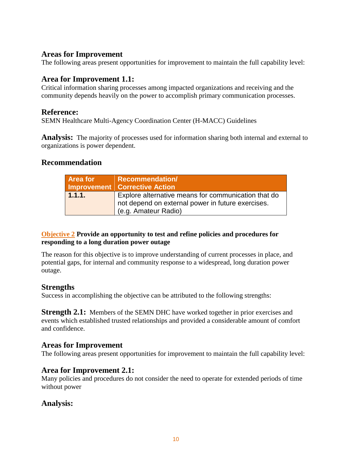### **Areas for Improvement**

The following areas present opportunities for improvement to maintain the full capability level:

**Area for Improvement 1.1:**<br>Critical information sharing processes among impacted organizations and receiving and the community depends heavily on the power to accomplish primary communication processes.

**Reference:**<br>SEMN Healthcare Multi-Agency Coordination Center (H-MACC) Guidelines

**Analysis:** The majority of processes used for information sharing both internal and external to organizations is power dependent.

### **Recommendation**

| <b>Area for</b> | <b>Recommendation/</b><br>Improvement   Corrective Action                                                |
|-----------------|----------------------------------------------------------------------------------------------------------|
| 1.1.1.          | Explore alternative means for communication that do<br>not depend on external power in future exercises. |
|                 | (e.g. Amateur Radio)                                                                                     |

### <span id="page-7-0"></span>**Objective 2 Provide an opportunity to test and refine policies and procedures for responding to a long duration power outage**

The reason for this objective is to improve understanding of current processes in place, and potential gaps, for internal and community response to a widespread, long duration power outage.

### **Strengths**

Success in accomplishing the objective can be attributed to the following strengths:

**Strength 2.1:** Members of the SEMN DHC have worked together in prior exercises and events which established trusted relationships and provided a considerable amount of comfort and confidence.

### **Areas for Improvement**

The following areas present opportunities for improvement to maintain the full capability level:

### **Area for Improvement 2.1:**

Many policies and procedures do not consider the need to operate for extended periods of time without power

### **Analysis:**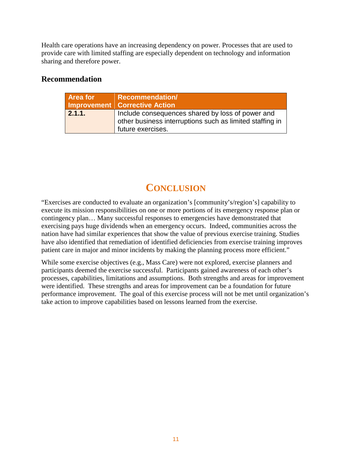Health care operations have an increasing dependency on power. Processes that are used to provide care with limited staffing are especially dependent on technology and information sharing and therefore power.

### **Recommendation**

| <b>Area for</b> | <b>Recommendation/</b><br>Improvement   Corrective Action                                                                         |
|-----------------|-----------------------------------------------------------------------------------------------------------------------------------|
| 2.1.1.          | Include consequences shared by loss of power and<br>other business interruptions such as limited staffing in<br>future exercises. |

## **CONCLUSION**

<span id="page-8-0"></span>"Exercises are conducted to evaluate an organization's [community's/region's] capability to execute its mission responsibilities on one or more portions of its emergency response plan or contingency plan… Many successful responses to emergencies have demonstrated that exercising pays huge dividends when an emergency occurs. Indeed, communities across the nation have had similar experiences that show the value of previous exercise training. Studies have also identified that remediation of identified deficiencies from exercise training improves patient care in major and minor incidents by making the planning process more efficient."

While some exercise objectives (e.g., Mass Care) were not explored, exercise planners and participants deemed the exercise successful. Participants gained awareness of each other's processes, capabilities, limitations and assumptions. Both strengths and areas for improvement were identified. These strengths and areas for improvement can be a foundation for future performance improvement. The goal of this exercise process will not be met until organization's take action to improve capabilities based on lessons learned from the exercise.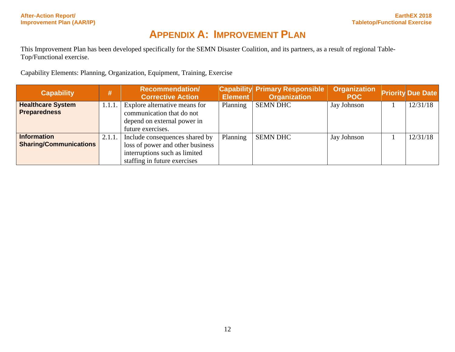# **APPENDIX A: IMPROVEMENT PLAN**

This Improvement Plan has been developed specifically for the SEMN Disaster Coalition, and its partners, as a result of regional Table-Top/Functional exercise.

Capability Elements: Planning, Organization, Equipment, Training, Exercise

<span id="page-9-0"></span>

| <b>Capability</b>             | #      | <b>Recommendation/</b><br><b>Corrective Action</b> | Element  | <b>Capability Primary Responsible</b><br><b>Organization</b> | <b>Organization</b><br><b>POC</b> | <b>Priority Due Date</b> |
|-------------------------------|--------|----------------------------------------------------|----------|--------------------------------------------------------------|-----------------------------------|--------------------------|
| <b>Healthcare System</b>      | 1.1.1. | Explore alternative means for                      | Planning | <b>SEMN DHC</b>                                              | Jay Johnson                       | 12/31/18                 |
| <b>Preparedness</b>           |        | communication that do not                          |          |                                                              |                                   |                          |
|                               |        | depend on external power in                        |          |                                                              |                                   |                          |
|                               |        | future exercises.                                  |          |                                                              |                                   |                          |
| <b>Information</b>            | 2.1.1. | Include consequences shared by                     | Planning | <b>SEMN DHC</b>                                              | Jay Johnson                       | 12/31/18                 |
| <b>Sharing/Communications</b> |        | loss of power and other business                   |          |                                                              |                                   |                          |
|                               |        | interruptions such as limited                      |          |                                                              |                                   |                          |
|                               |        | staffing in future exercises                       |          |                                                              |                                   |                          |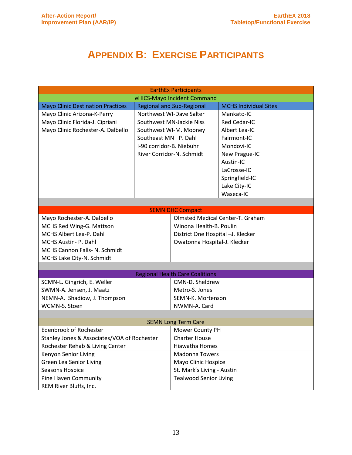# **APPENDIX B: EXERCISE PARTICIPANTS**

<span id="page-10-0"></span>

| <b>EarthEx Participants</b>                             |                          |                                        |                                  |  |  |
|---------------------------------------------------------|--------------------------|----------------------------------------|----------------------------------|--|--|
| eHICS-Mayo Incident Command                             |                          |                                        |                                  |  |  |
| <b>Mayo Clinic Destination Practices</b>                |                          | <b>Regional and Sub-Regional</b>       | <b>MCHS Individual Sites</b>     |  |  |
| Northwest WI-Dave Salter<br>Mayo Clinic Arizona-K-Perry |                          |                                        | Mankato-IC                       |  |  |
| Mayo Clinic Florida-J. Cipriani                         | Southwest MN-Jackie Niss |                                        | Red Cedar-IC                     |  |  |
| Mayo Clinic Rochester-A. Dalbello                       |                          | Southwest WI-M. Mooney                 | Albert Lea-IC                    |  |  |
|                                                         | Southeast MN-P. Dahl     |                                        | Fairmont-IC                      |  |  |
|                                                         | I-90 corridor-B. Niebuhr |                                        | Mondovi-IC                       |  |  |
|                                                         |                          | River Corridor-N. Schmidt              | New Prague-IC                    |  |  |
|                                                         |                          |                                        | Austin-IC                        |  |  |
|                                                         |                          |                                        | LaCrosse-IC                      |  |  |
|                                                         |                          |                                        | Springfield-IC                   |  |  |
|                                                         |                          |                                        | Lake City-IC                     |  |  |
|                                                         |                          |                                        | Waseca-IC                        |  |  |
|                                                         |                          |                                        |                                  |  |  |
|                                                         |                          | <b>SEMN DHC Compact</b>                |                                  |  |  |
| Mayo Rochester-A. Dalbello                              |                          |                                        | Olmsted Medical Center-T. Graham |  |  |
| MCHS Red Wing-G. Mattson                                |                          | Winona Health-B. Poulin                |                                  |  |  |
| MCHS Albert Lea-P. Dahl                                 |                          | District One Hospital -J. Klecker      |                                  |  |  |
| MCHS Austin- P. Dahl                                    |                          | Owatonna Hospital-J. Klecker           |                                  |  |  |
| MCHS Cannon Falls- N. Schmidt                           |                          |                                        |                                  |  |  |
| MCHS Lake City-N. Schmidt                               |                          |                                        |                                  |  |  |
|                                                         |                          |                                        |                                  |  |  |
|                                                         |                          | <b>Regional Health Care Coalitions</b> |                                  |  |  |
| SCMN-L. Gingrich, E. Weller                             |                          | CMN-D. Sheldrew                        |                                  |  |  |
| SWMN-A. Jensen, J. Maatz                                |                          | Metro-S. Jones                         |                                  |  |  |
| NEMN-A. Shadiow, J. Thompson                            |                          | SEMN-K. Mortenson                      |                                  |  |  |
| WCMN-S. Stoen                                           |                          | NWMN-A. Card                           |                                  |  |  |
|                                                         |                          |                                        |                                  |  |  |
| <b>SEMN Long Term Care</b>                              |                          |                                        |                                  |  |  |
| <b>Edenbrook of Rochester</b>                           |                          | Mower County PH                        |                                  |  |  |
| Stanley Jones & Associates/VOA of Rochester             |                          | <b>Charter House</b>                   |                                  |  |  |
| Rochester Rehab & Living Center                         |                          | Hiawatha Homes                         |                                  |  |  |
| Kenyon Senior Living                                    |                          | Madonna Towers                         |                                  |  |  |
| <b>Green Lea Senior Living</b>                          |                          | Mayo Clinic Hospice                    |                                  |  |  |
| Seasons Hospice                                         |                          | St. Mark's Living - Austin             |                                  |  |  |
| <b>Pine Haven Community</b>                             |                          | <b>Tealwood Senior Living</b>          |                                  |  |  |
| REM River Bluffs, Inc.                                  |                          |                                        |                                  |  |  |